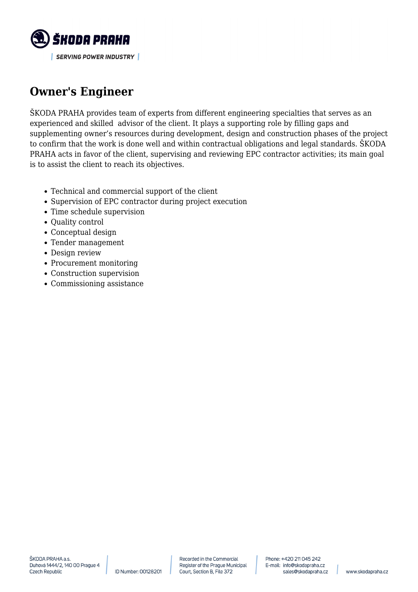

## **Owner's Engineer**

ŠKODA PRAHA provides team of experts from different engineering specialties that serves as an experienced and skilled advisor of the client. It plays a supporting role by filling gaps and supplementing owner's resources during development, design and construction phases of the project to confirm that the work is done well and within contractual obligations and legal standards. ŠKODA PRAHA acts in favor of the client, supervising and reviewing EPC contractor activities; its main goal is to assist the client to reach its objectives.

- Technical and commercial support of the client
- Supervision of EPC contractor during project execution
- Time schedule supervision
- Quality control
- Conceptual design
- Tender management
- Design review
- Procurement monitoring
- Construction supervision
- Commissioning assistance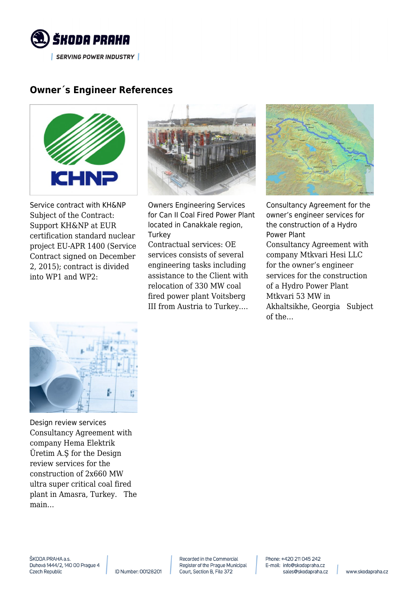

## **Owner´s Engineer References**



Service contract with KH&NP Subject of the Contract: Support KH&NP at EUR certification standard nuclear project EU-APR 1400 (Service Contract signed on December 2, 2015); contract is divided into WP1 and WP2:



Owners Engineering Services for Can II Coal Fired Power Plant located in Canakkale region, **Turkey** 

Contractual services: OE services consists of several engineering tasks including assistance to the Client with relocation of 330 MW coal fired power plant Voitsberg III from Austria to Turkey.…



Consultancy Agreement for the owner's engineer services for the construction of a Hydro Power Plant Consultancy Agreement with company Mtkvari Hesi LLC for the owner's engineer services for the construction of a Hydro Power Plant Mtkvari 53 MW in Akhaltsikhe, Georgia Subject of the…



Design review services Consultancy Agreement with company Hema Elektrik Üretim A.Ş for the Design review services for the construction of 2x660 MW ultra super critical coal fired plant in Amasra, Turkey. The main…